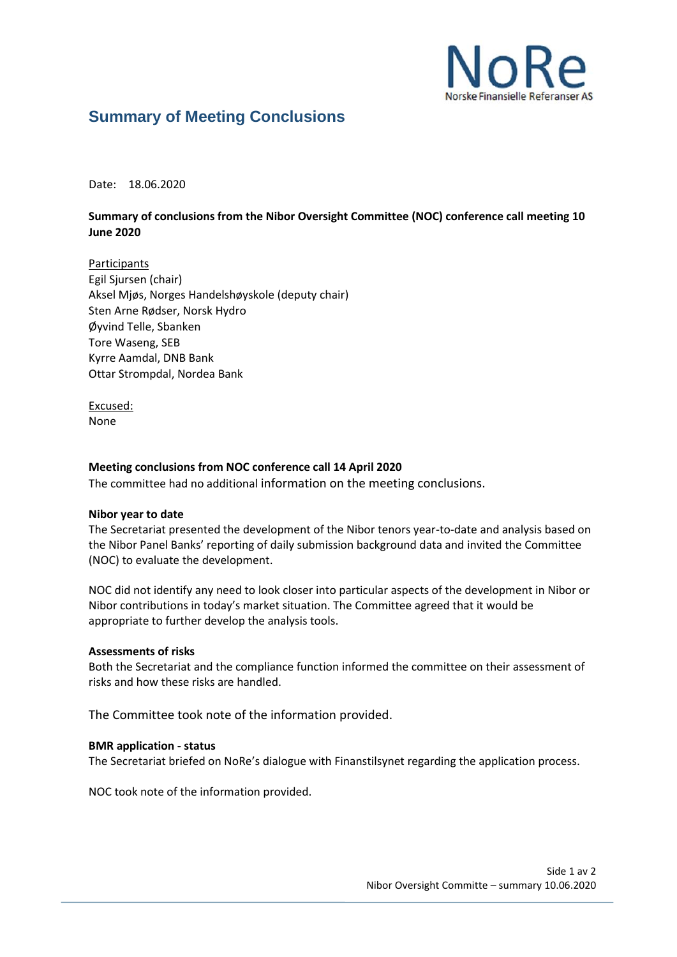

# **Summary of Meeting Conclusions**

Date: 18.06.2020

## **Summary of conclusions from the Nibor Oversight Committee (NOC) conference call meeting 10 June 2020**

**Participants** Egil Sjursen (chair) Aksel Mjøs, Norges Handelshøyskole (deputy chair) Sten Arne Rødser, Norsk Hydro Øyvind Telle, Sbanken Tore Waseng, SEB Kyrre Aamdal, DNB Bank Ottar Strompdal, Nordea Bank

Excused: None

## **Meeting conclusions from NOC conference call 14 April 2020**

The committee had no additional information on the meeting conclusions.

#### **Nibor year to date**

The Secretariat presented the development of the Nibor tenors year-to-date and analysis based on the Nibor Panel Banks' reporting of daily submission background data and invited the Committee (NOC) to evaluate the development.

NOC did not identify any need to look closer into particular aspects of the development in Nibor or Nibor contributions in today's market situation. The Committee agreed that it would be appropriate to further develop the analysis tools.

#### **Assessments of risks**

Both the Secretariat and the compliance function informed the committee on their assessment of risks and how these risks are handled.

The Committee took note of the information provided.

#### **BMR application - status**

The Secretariat briefed on NoRe's dialogue with Finanstilsynet regarding the application process.

NOC took note of the information provided.